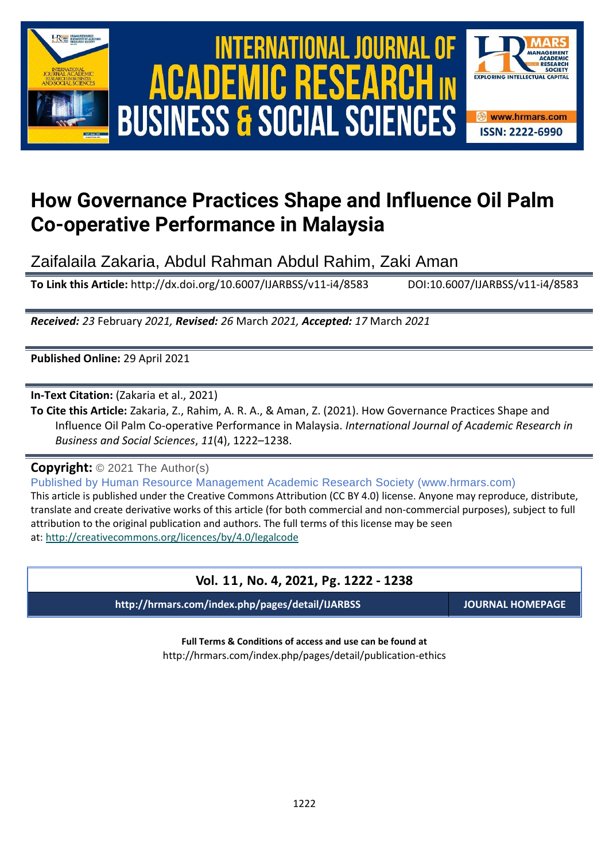



# **How Governance Practices Shape and Influence Oil Palm Co-operative Performance in Malaysia**

Zaifalaila Zakaria, Abdul Rahman Abdul Rahim, Zaki Aman

**To Link this Article:** http://dx.doi.org/10.6007/IJARBSS/v11-i4/8583 DOI:10.6007/IJARBSS/v11-i4/8583

*Received: 23* February *2021, Revised: 26* March *2021, Accepted: 17* March *2021*

**Published Online:** 29 April 2021

**In-Text Citation:** (Zakaria et al., 2021)

**To Cite this Article:** Zakaria, Z., Rahim, A. R. A., & Aman, Z. (2021). How Governance Practices Shape and Influence Oil Palm Co-operative Performance in Malaysia. *International Journal of Academic Research in Business and Social Sciences*, *11*(4), 1222–1238.

**Copyright:** © 2021 The Author(s)

Published by Human Resource Management Academic Research Society (www.hrmars.com) This article is published under the Creative Commons Attribution (CC BY 4.0) license. Anyone may reproduce, distribute, translate and create derivative works of this article (for both commercial and non-commercial purposes), subject to full

attribution to the original publication and authors. The full terms of this license may be seen at: <http://creativecommons.org/licences/by/4.0/legalcode>

# **Vol. 11, No. 4, 2021, Pg. 1222 - 1238**

**http://hrmars.com/index.php/pages/detail/IJARBSS JOURNAL HOMEPAGE**

**Full Terms & Conditions of access and use can be found at** http://hrmars.com/index.php/pages/detail/publication-ethics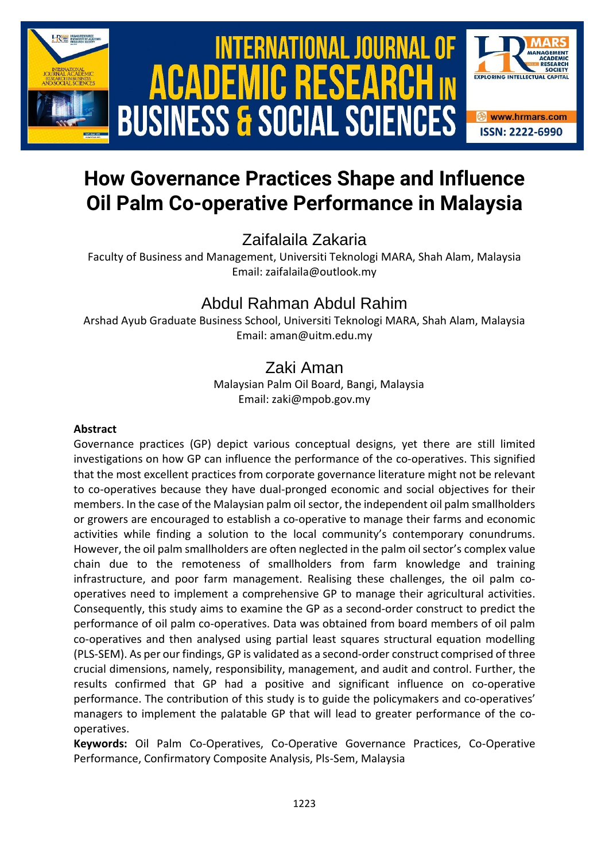

# **How Governance Practices Shape and Influence Oil Palm Co-operative Performance in Malaysia**

Zaifalaila Zakaria

Faculty of Business and Management, Universiti Teknologi MARA, Shah Alam, Malaysia Email: zaifalaila@outlook.my

# Abdul Rahman Abdul Rahim

Arshad Ayub Graduate Business School, Universiti Teknologi MARA, Shah Alam, Malaysia Email: aman@uitm.edu.my

# Zaki Aman

Malaysian Palm Oil Board, Bangi, Malaysia Email: zaki@mpob.gov.my

# **Abstract**

Governance practices (GP) depict various conceptual designs, yet there are still limited investigations on how GP can influence the performance of the co-operatives. This signified that the most excellent practices from corporate governance literature might not be relevant to co-operatives because they have dual-pronged economic and social objectives for their members. In the case of the Malaysian palm oil sector, the independent oil palm smallholders or growers are encouraged to establish a co-operative to manage their farms and economic activities while finding a solution to the local community's contemporary conundrums. However, the oil palm smallholders are often neglected in the palm oil sector's complex value chain due to the remoteness of smallholders from farm knowledge and training infrastructure, and poor farm management. Realising these challenges, the oil palm cooperatives need to implement a comprehensive GP to manage their agricultural activities. Consequently, this study aims to examine the GP as a second-order construct to predict the performance of oil palm co-operatives. Data was obtained from board members of oil palm co-operatives and then analysed using partial least squares structural equation modelling (PLS-SEM). As per our findings, GP is validated as a second-order construct comprised of three crucial dimensions, namely, responsibility, management, and audit and control. Further, the results confirmed that GP had a positive and significant influence on co-operative performance. The contribution of this study is to guide the policymakers and co-operatives' managers to implement the palatable GP that will lead to greater performance of the cooperatives.

**Keywords:** Oil Palm Co-Operatives, Co-Operative Governance Practices, Co-Operative Performance, Confirmatory Composite Analysis, Pls-Sem, Malaysia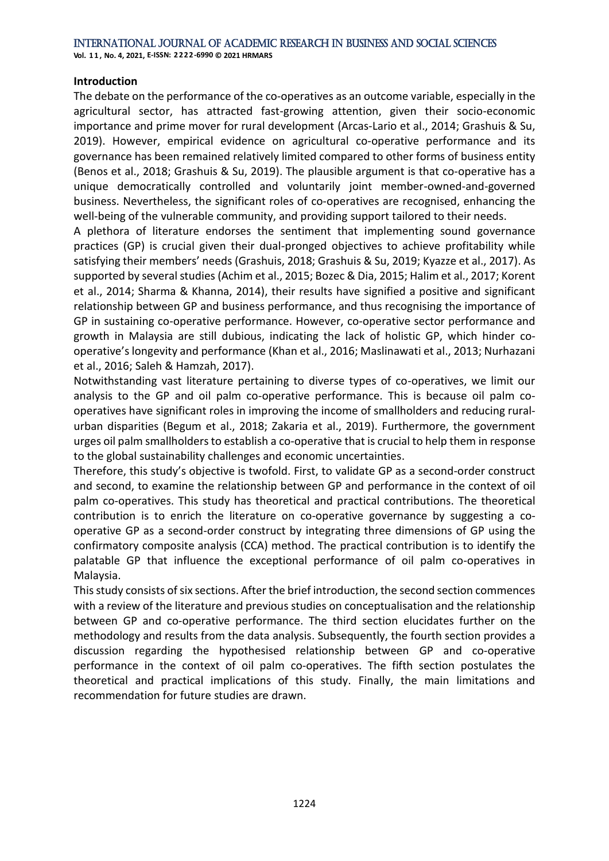#### **Introduction**

The debate on the performance of the co-operatives as an outcome variable, especially in the agricultural sector, has attracted fast-growing attention, given their socio-economic importance and prime mover for rural development (Arcas-Lario et al., 2014; Grashuis & Su, 2019). However, empirical evidence on agricultural co-operative performance and its governance has been remained relatively limited compared to other forms of business entity (Benos et al., 2018; Grashuis & Su, 2019). The plausible argument is that co-operative has a unique democratically controlled and voluntarily joint member-owned-and-governed business. Nevertheless, the significant roles of co-operatives are recognised, enhancing the well-being of the vulnerable community, and providing support tailored to their needs.

A plethora of literature endorses the sentiment that implementing sound governance practices (GP) is crucial given their dual-pronged objectives to achieve profitability while satisfying their members' needs (Grashuis, 2018; Grashuis & Su, 2019; Kyazze et al., 2017). As supported by several studies (Achim et al., 2015; Bozec & Dia, 2015; Halim et al., 2017; Korent et al., 2014; Sharma & Khanna, 2014), their results have signified a positive and significant relationship between GP and business performance, and thus recognising the importance of GP in sustaining co-operative performance. However, co-operative sector performance and growth in Malaysia are still dubious, indicating the lack of holistic GP, which hinder cooperative's longevity and performance (Khan et al., 2016; Maslinawati et al., 2013; Nurhazani et al., 2016; Saleh & Hamzah, 2017).

Notwithstanding vast literature pertaining to diverse types of co-operatives, we limit our analysis to the GP and oil palm co-operative performance. This is because oil palm cooperatives have significant roles in improving the income of smallholders and reducing ruralurban disparities (Begum et al., 2018; Zakaria et al., 2019). Furthermore, the government urges oil palm smallholders to establish a co-operative that is crucial to help them in response to the global sustainability challenges and economic uncertainties.

Therefore, this study's objective is twofold. First, to validate GP as a second-order construct and second, to examine the relationship between GP and performance in the context of oil palm co-operatives. This study has theoretical and practical contributions. The theoretical contribution is to enrich the literature on co-operative governance by suggesting a cooperative GP as a second-order construct by integrating three dimensions of GP using the confirmatory composite analysis (CCA) method. The practical contribution is to identify the palatable GP that influence the exceptional performance of oil palm co-operatives in Malaysia.

This study consists of six sections. After the brief introduction, the second section commences with a review of the literature and previous studies on conceptualisation and the relationship between GP and co-operative performance. The third section elucidates further on the methodology and results from the data analysis. Subsequently, the fourth section provides a discussion regarding the hypothesised relationship between GP and co-operative performance in the context of oil palm co-operatives. The fifth section postulates the theoretical and practical implications of this study. Finally, the main limitations and recommendation for future studies are drawn.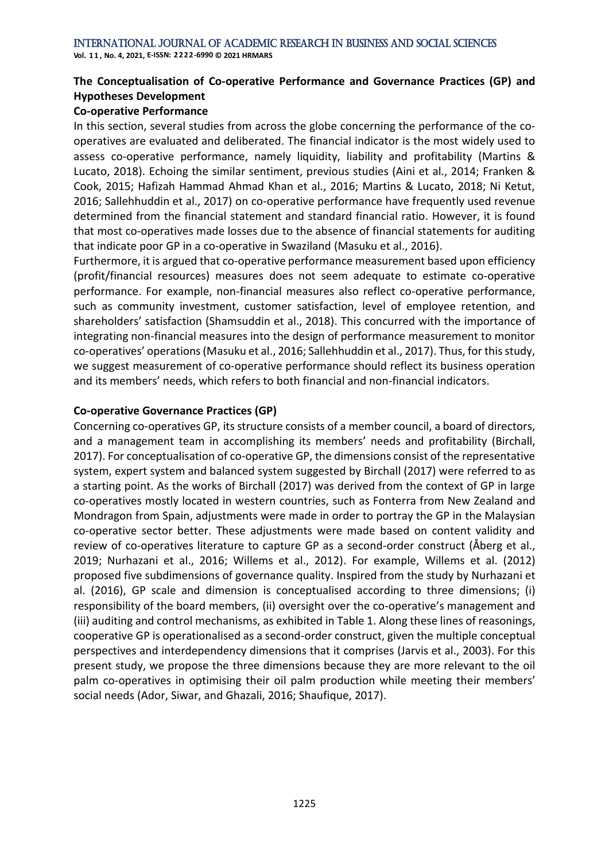**Vol. 1 1 , No. 4, 2021, E-ISSN: 2222-6990 © 2021 HRMARS**

# **The Conceptualisation of Co-operative Performance and Governance Practices (GP) and Hypotheses Development**

### **Co-operative Performance**

In this section, several studies from across the globe concerning the performance of the cooperatives are evaluated and deliberated. The financial indicator is the most widely used to assess co-operative performance, namely liquidity, liability and profitability (Martins & Lucato, 2018). Echoing the similar sentiment, previous studies (Aini et al., 2014; Franken & Cook, 2015; Hafizah Hammad Ahmad Khan et al., 2016; Martins & Lucato, 2018; Ni Ketut, 2016; Sallehhuddin et al., 2017) on co-operative performance have frequently used revenue determined from the financial statement and standard financial ratio. However, it is found that most co-operatives made losses due to the absence of financial statements for auditing that indicate poor GP in a co-operative in Swaziland (Masuku et al., 2016).

Furthermore, it is argued that co-operative performance measurement based upon efficiency (profit/financial resources) measures does not seem adequate to estimate co-operative performance. For example, non-financial measures also reflect co-operative performance, such as community investment, customer satisfaction, level of employee retention, and shareholders' satisfaction (Shamsuddin et al., 2018). This concurred with the importance of integrating non-financial measures into the design of performance measurement to monitor co-operatives' operations (Masuku et al., 2016; Sallehhuddin et al., 2017). Thus, for this study, we suggest measurement of co-operative performance should reflect its business operation and its members' needs, which refers to both financial and non-financial indicators.

# **Co-operative Governance Practices (GP)**

Concerning co-operatives GP, its structure consists of a member council, a board of directors, and a management team in accomplishing its members' needs and profitability (Birchall, 2017). For conceptualisation of co-operative GP, the dimensions consist of the representative system, expert system and balanced system suggested by Birchall (2017) were referred to as a starting point. As the works of Birchall (2017) was derived from the context of GP in large co-operatives mostly located in western countries, such as Fonterra from New Zealand and Mondragon from Spain, adjustments were made in order to portray the GP in the Malaysian co-operative sector better. These adjustments were made based on content validity and review of co-operatives literature to capture GP as a second-order construct (Åberg et al., 2019; Nurhazani et al., 2016; Willems et al., 2012). For example, Willems et al. (2012) proposed five subdimensions of governance quality. Inspired from the study by Nurhazani et al. (2016), GP scale and dimension is conceptualised according to three dimensions; (i) responsibility of the board members, (ii) oversight over the co-operative's management and (iii) auditing and control mechanisms, as exhibited in Table 1. Along these lines of reasonings, cooperative GP is operationalised as a second-order construct, given the multiple conceptual perspectives and interdependency dimensions that it comprises (Jarvis et al., 2003). For this present study, we propose the three dimensions because they are more relevant to the oil palm co-operatives in optimising their oil palm production while meeting their members' social needs (Ador, Siwar, and Ghazali, 2016; Shaufique, 2017).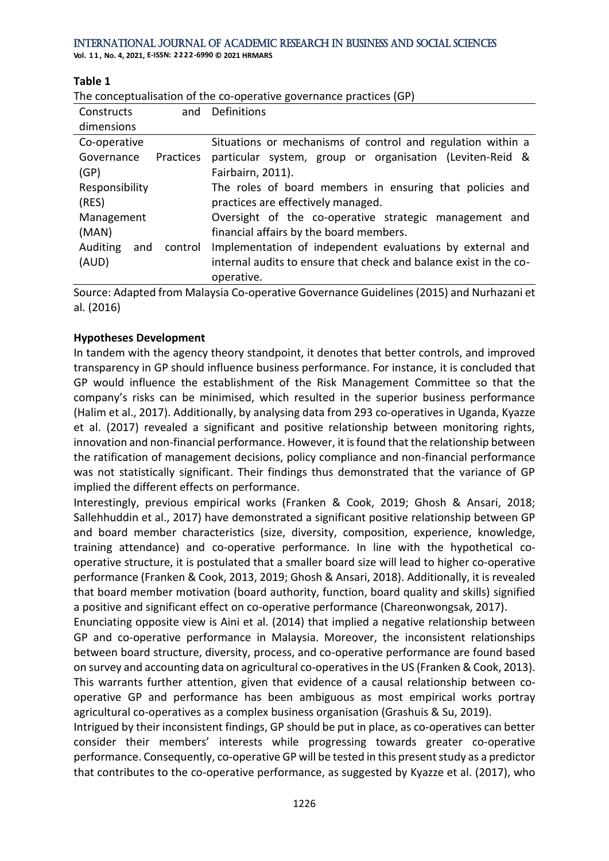**Vol. 1 1 , No. 4, 2021, E-ISSN: 2222-6990 © 2021 HRMARS**

#### **Table 1**

| The conceptualisation of the co-operative governance practices (GP) |                                                                   |  |  |  |  |
|---------------------------------------------------------------------|-------------------------------------------------------------------|--|--|--|--|
| Constructs<br>and                                                   | Definitions                                                       |  |  |  |  |
| dimensions                                                          |                                                                   |  |  |  |  |
| Co-operative                                                        | Situations or mechanisms of control and regulation within a       |  |  |  |  |
| Governance<br><b>Practices</b>                                      | particular system, group or organisation (Leviten-Reid &          |  |  |  |  |
| (GP)                                                                | Fairbairn, 2011).                                                 |  |  |  |  |
| Responsibility                                                      | The roles of board members in ensuring that policies and          |  |  |  |  |
| (RES)                                                               | practices are effectively managed.                                |  |  |  |  |
| Management                                                          | Oversight of the co-operative strategic management and            |  |  |  |  |
| (MAN)                                                               | financial affairs by the board members.                           |  |  |  |  |
| Auditing<br>and<br>control                                          | Implementation of independent evaluations by external and         |  |  |  |  |
| (AUD)                                                               | internal audits to ensure that check and balance exist in the co- |  |  |  |  |
|                                                                     | operative.                                                        |  |  |  |  |

Source: Adapted from Malaysia Co-operative Governance Guidelines (2015) and Nurhazani et al. (2016)

## **Hypotheses Development**

In tandem with the agency theory standpoint, it denotes that better controls, and improved transparency in GP should influence business performance. For instance, it is concluded that GP would influence the establishment of the Risk Management Committee so that the company's risks can be minimised, which resulted in the superior business performance (Halim et al., 2017). Additionally, by analysing data from 293 co-operatives in Uganda, Kyazze et al. (2017) revealed a significant and positive relationship between monitoring rights, innovation and non-financial performance. However, it is found that the relationship between the ratification of management decisions, policy compliance and non-financial performance was not statistically significant. Their findings thus demonstrated that the variance of GP implied the different effects on performance.

Interestingly, previous empirical works (Franken & Cook, 2019; Ghosh & Ansari, 2018; Sallehhuddin et al., 2017) have demonstrated a significant positive relationship between GP and board member characteristics (size, diversity, composition, experience, knowledge, training attendance) and co-operative performance. In line with the hypothetical cooperative structure, it is postulated that a smaller board size will lead to higher co-operative performance (Franken & Cook, 2013, 2019; Ghosh & Ansari, 2018). Additionally, it is revealed that board member motivation (board authority, function, board quality and skills) signified a positive and significant effect on co-operative performance (Chareonwongsak, 2017).

Enunciating opposite view is Aini et al. (2014) that implied a negative relationship between GP and co-operative performance in Malaysia. Moreover, the inconsistent relationships between board structure, diversity, process, and co-operative performance are found based on survey and accounting data on agricultural co-operatives in the US (Franken & Cook, 2013). This warrants further attention, given that evidence of a causal relationship between cooperative GP and performance has been ambiguous as most empirical works portray agricultural co-operatives as a complex business organisation (Grashuis & Su, 2019).

Intrigued by their inconsistent findings, GP should be put in place, as co-operatives can better consider their members' interests while progressing towards greater co-operative performance. Consequently, co-operative GP will be tested in this present study as a predictor that contributes to the co-operative performance, as suggested by Kyazze et al. (2017), who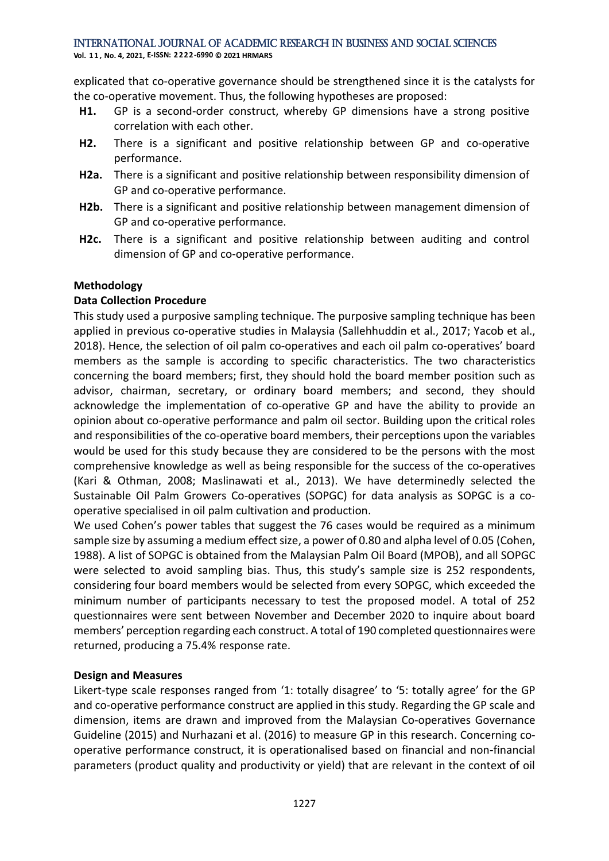**Vol. 1 1 , No. 4, 2021, E-ISSN: 2222-6990 © 2021 HRMARS**

explicated that co-operative governance should be strengthened since it is the catalysts for the co-operative movement. Thus, the following hypotheses are proposed:

- **H1.** GP is a second-order construct, whereby GP dimensions have a strong positive correlation with each other.
- **H2.** There is a significant and positive relationship between GP and co-operative performance.
- **H2a.** There is a significant and positive relationship between responsibility dimension of GP and co-operative performance.
- **H2b.** There is a significant and positive relationship between management dimension of GP and co-operative performance.
- **H2c.** There is a significant and positive relationship between auditing and control dimension of GP and co-operative performance.

# **Methodology**

#### **Data Collection Procedure**

This study used a purposive sampling technique. The purposive sampling technique has been applied in previous co-operative studies in Malaysia (Sallehhuddin et al., 2017; Yacob et al., 2018). Hence, the selection of oil palm co-operatives and each oil palm co-operatives' board members as the sample is according to specific characteristics. The two characteristics concerning the board members; first, they should hold the board member position such as advisor, chairman, secretary, or ordinary board members; and second, they should acknowledge the implementation of co-operative GP and have the ability to provide an opinion about co-operative performance and palm oil sector. Building upon the critical roles and responsibilities of the co-operative board members, their perceptions upon the variables would be used for this study because they are considered to be the persons with the most comprehensive knowledge as well as being responsible for the success of the co-operatives (Kari & Othman, 2008; Maslinawati et al., 2013). We have determinedly selected the Sustainable Oil Palm Growers Co-operatives (SOPGC) for data analysis as SOPGC is a cooperative specialised in oil palm cultivation and production.

We used Cohen's power tables that suggest the 76 cases would be required as a minimum sample size by assuming a medium effect size, a power of 0.80 and alpha level of 0.05 (Cohen, 1988). A list of SOPGC is obtained from the Malaysian Palm Oil Board (MPOB), and all SOPGC were selected to avoid sampling bias. Thus, this study's sample size is 252 respondents, considering four board members would be selected from every SOPGC, which exceeded the minimum number of participants necessary to test the proposed model. A total of 252 questionnaires were sent between November and December 2020 to inquire about board members' perception regarding each construct. A total of 190 completed questionnaires were returned, producing a 75.4% response rate.

#### **Design and Measures**

Likert-type scale responses ranged from '1: totally disagree' to '5: totally agree' for the GP and co-operative performance construct are applied in this study. Regarding the GP scale and dimension, items are drawn and improved from the Malaysian Co-operatives Governance Guideline (2015) and Nurhazani et al. (2016) to measure GP in this research. Concerning cooperative performance construct, it is operationalised based on financial and non-financial parameters (product quality and productivity or yield) that are relevant in the context of oil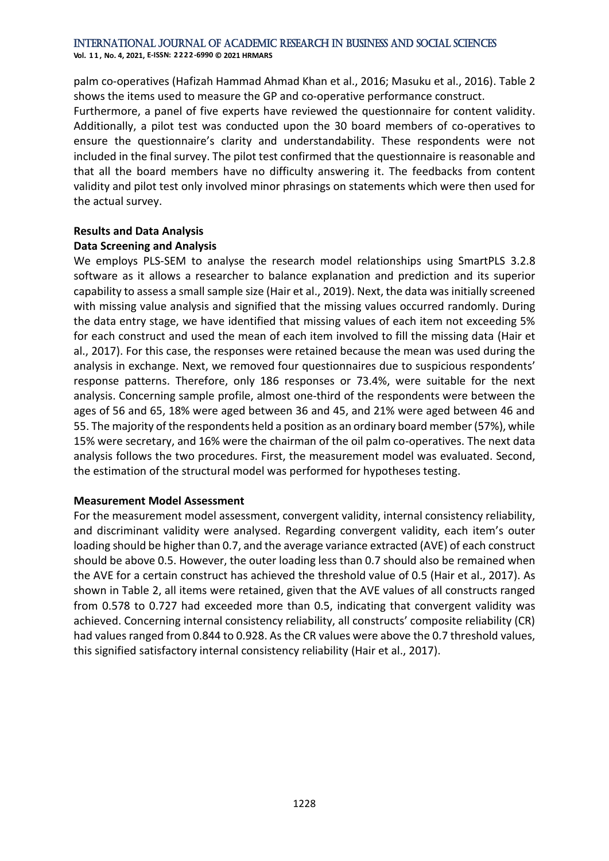**Vol. 1 1 , No. 4, 2021, E-ISSN: 2222-6990 © 2021 HRMARS**

palm co-operatives (Hafizah Hammad Ahmad Khan et al., 2016; Masuku et al., 2016). Table 2 shows the items used to measure the GP and co-operative performance construct.

Furthermore, a panel of five experts have reviewed the questionnaire for content validity. Additionally, a pilot test was conducted upon the 30 board members of co-operatives to ensure the questionnaire's clarity and understandability. These respondents were not included in the final survey. The pilot test confirmed that the questionnaire is reasonable and that all the board members have no difficulty answering it. The feedbacks from content validity and pilot test only involved minor phrasings on statements which were then used for the actual survey.

## **Results and Data Analysis Data Screening and Analysis**

We employs PLS-SEM to analyse the research model relationships using SmartPLS 3.2.8 software as it allows a researcher to balance explanation and prediction and its superior capability to assess a small sample size (Hair et al., 2019). Next, the data was initially screened with missing value analysis and signified that the missing values occurred randomly. During the data entry stage, we have identified that missing values of each item not exceeding 5% for each construct and used the mean of each item involved to fill the missing data (Hair et al., 2017). For this case, the responses were retained because the mean was used during the analysis in exchange. Next, we removed four questionnaires due to suspicious respondents' response patterns. Therefore, only 186 responses or 73.4%, were suitable for the next analysis. Concerning sample profile, almost one-third of the respondents were between the ages of 56 and 65, 18% were aged between 36 and 45, and 21% were aged between 46 and 55. The majority of the respondents held a position as an ordinary board member (57%), while 15% were secretary, and 16% were the chairman of the oil palm co-operatives. The next data analysis follows the two procedures. First, the measurement model was evaluated. Second, the estimation of the structural model was performed for hypotheses testing.

# **Measurement Model Assessment**

For the measurement model assessment, convergent validity, internal consistency reliability, and discriminant validity were analysed. Regarding convergent validity, each item's outer loading should be higher than 0.7, and the average variance extracted (AVE) of each construct should be above 0.5. However, the outer loading less than 0.7 should also be remained when the AVE for a certain construct has achieved the threshold value of 0.5 (Hair et al., 2017). As shown in Table 2, all items were retained, given that the AVE values of all constructs ranged from 0.578 to 0.727 had exceeded more than 0.5, indicating that convergent validity was achieved. Concerning internal consistency reliability, all constructs' composite reliability (CR) had values ranged from 0.844 to 0.928. As the CR values were above the 0.7 threshold values, this signified satisfactory internal consistency reliability (Hair et al., 2017).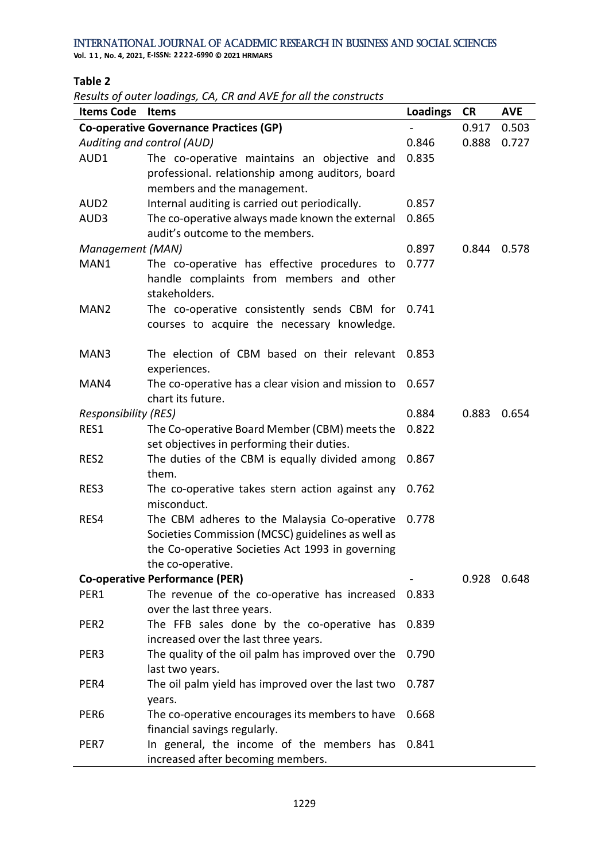**Vol. 1 1 , No. 4, 2021, E-ISSN: 2222-6990 © 2021 HRMARS**

#### **Table 2**

*Results of outer loadings, CA, CR and AVE for all the constructs* 

| <b>Items Code</b>           | <b>Items</b>                                       | <b>Loadings</b> | <b>CR</b> | <b>AVE</b> |
|-----------------------------|----------------------------------------------------|-----------------|-----------|------------|
|                             | <b>Co-operative Governance Practices (GP)</b>      |                 | 0.917     | 0.503      |
|                             | Auditing and control (AUD)                         | 0.846           | 0.888     | 0.727      |
| AUD1                        | The co-operative maintains an objective and        | 0.835           |           |            |
|                             | professional. relationship among auditors, board   |                 |           |            |
|                             | members and the management.                        |                 |           |            |
| AUD <sub>2</sub>            | Internal auditing is carried out periodically.     | 0.857           |           |            |
| AUD3                        | The co-operative always made known the external    | 0.865           |           |            |
|                             | audit's outcome to the members.                    |                 |           |            |
| Management (MAN)            |                                                    | 0.897           | 0.844     | 0.578      |
| MAN1                        | The co-operative has effective procedures to       | 0.777           |           |            |
|                             | handle complaints from members and other           |                 |           |            |
|                             | stakeholders.                                      |                 |           |            |
| MAN <sub>2</sub>            | The co-operative consistently sends CBM for        | 0.741           |           |            |
|                             | courses to acquire the necessary knowledge.        |                 |           |            |
|                             |                                                    |                 |           |            |
| MAN3                        | The election of CBM based on their relevant        | 0.853           |           |            |
|                             | experiences.                                       |                 |           |            |
| MAN4                        | The co-operative has a clear vision and mission to | 0.657           |           |            |
|                             | chart its future.                                  |                 |           |            |
| <b>Responsibility (RES)</b> |                                                    | 0.884           | 0.883     | 0.654      |
| RES1                        | The Co-operative Board Member (CBM) meets the      | 0.822           |           |            |
|                             | set objectives in performing their duties.         |                 |           |            |
| RES2                        | The duties of the CBM is equally divided among     | 0.867           |           |            |
|                             | them.                                              |                 |           |            |
| RES3                        | The co-operative takes stern action against any    | 0.762           |           |            |
|                             | misconduct.                                        |                 |           |            |
| RES4                        | The CBM adheres to the Malaysia Co-operative       | 0.778           |           |            |
|                             | Societies Commission (MCSC) guidelines as well as  |                 |           |            |
|                             | the Co-operative Societies Act 1993 in governing   |                 |           |            |
|                             | the co-operative.                                  |                 |           |            |
|                             | <b>Co-operative Performance (PER)</b>              |                 | 0.928     | 0.648      |
| PER1                        | The revenue of the co-operative has increased      | 0.833           |           |            |
|                             | over the last three years.                         |                 |           |            |
| PER <sub>2</sub>            | The FFB sales done by the co-operative has         | 0.839           |           |            |
|                             | increased over the last three years.               |                 |           |            |
| PER3                        | The quality of the oil palm has improved over the  | 0.790           |           |            |
|                             | last two years.                                    |                 |           |            |
| PER4                        | The oil palm yield has improved over the last two  | 0.787           |           |            |
|                             | years.                                             |                 |           |            |
| PER <sub>6</sub>            | The co-operative encourages its members to have    | 0.668           |           |            |
|                             | financial savings regularly.                       |                 |           |            |
| PER7                        | In general, the income of the members has          | 0.841           |           |            |
|                             | increased after becoming members.                  |                 |           |            |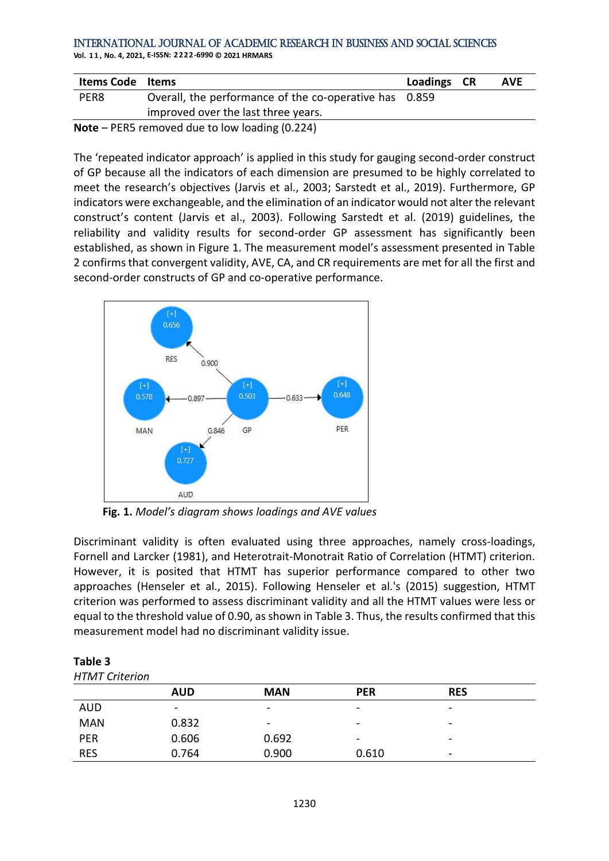**Vol. 1 1 , No. 4, 2021, E-ISSN: 2222-6990 © 2021 HRMARS**

| <b>Items Code</b> | <b>Items</b>                                           | Loadings CR | <b>AVE</b> |
|-------------------|--------------------------------------------------------|-------------|------------|
| PER8              | Overall, the performance of the co-operative has 0.859 |             |            |
|                   | improved over the last three years.                    |             |            |
|                   | Note - PER5 removed due to low loading (0.224)         |             |            |

The 'repeated indicator approach' is applied in this study for gauging second-order construct of GP because all the indicators of each dimension are presumed to be highly correlated to meet the research's objectives (Jarvis et al., 2003; Sarstedt et al., 2019). Furthermore, GP indicators were exchangeable, and the elimination of an indicator would not alter the relevant construct's content (Jarvis et al., 2003). Following Sarstedt et al. (2019) guidelines, the reliability and validity results for second-order GP assessment has significantly been established, as shown in Figure 1. The measurement model's assessment presented in Table 2 confirms that convergent validity, AVE, CA, and CR requirements are met for all the first and second-order constructs of GP and co-operative performance.



**Fig. 1.** *Model's diagram shows loadings and AVE values*

Discriminant validity is often evaluated using three approaches, namely cross-loadings, Fornell and Larcker (1981), and Heterotrait-Monotrait Ratio of Correlation (HTMT) criterion. However, it is posited that HTMT has superior performance compared to other two approaches (Henseler et al., 2015). Following Henseler et al.'s (2015) suggestion, HTMT criterion was performed to assess discriminant validity and all the HTMT values were less or equal to the threshold value of 0.90, as shown in Table 3. Thus, the results confirmed that this measurement model had no discriminant validity issue.

| <b>HTMT Criterion</b> |  |
|-----------------------|--|
| Table 3               |  |

| .               |                          |                 |                              |  |  |
|-----------------|--------------------------|-----------------|------------------------------|--|--|
| <b>AUD</b>      | <b>MAN</b>               | <b>PER</b>      | <b>RES</b>                   |  |  |
| $\qquad \qquad$ | $\overline{\phantom{a}}$ | -               | $\overline{\phantom{0}}$     |  |  |
| 0.832           | $\overline{\phantom{0}}$ | -               | $\overline{\phantom{0}}$     |  |  |
| 0.606           | 0.692                    | $\qquad \qquad$ | $\qquad \qquad \blacksquare$ |  |  |
| 0.764           | 0.900                    | 0.610           | $\overline{\phantom{0}}$     |  |  |
|                 |                          |                 |                              |  |  |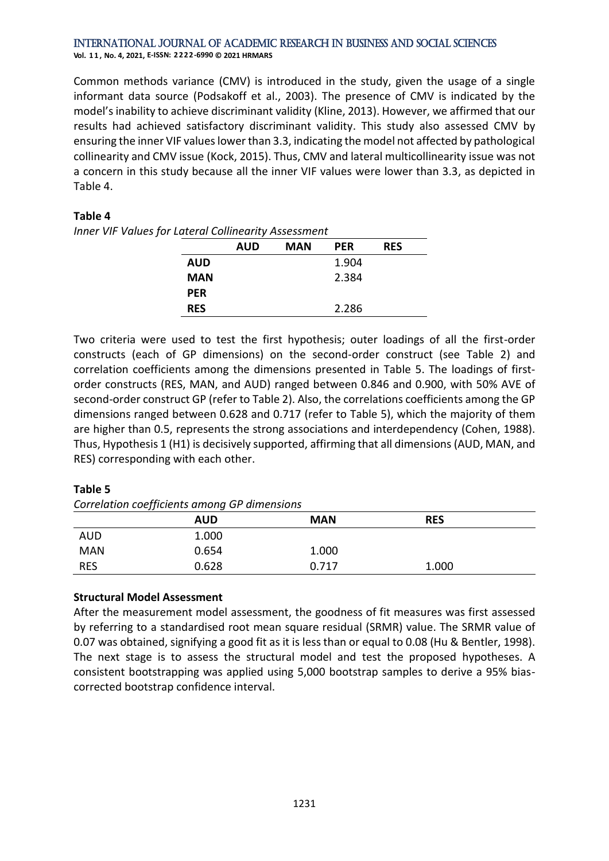#### International Journal of Academic Research in Business and Social Sciences **Vol. 1 1 , No. 4, 2021, E-ISSN: 2222-6990 © 2021 HRMARS**

Common methods variance (CMV) is introduced in the study, given the usage of a single informant data source (Podsakoff et al., 2003). The presence of CMV is indicated by the model's inability to achieve discriminant validity (Kline, 2013). However, we affirmed that our results had achieved satisfactory discriminant validity. This study also assessed CMV by ensuring the inner VIF values lower than 3.3, indicating the model not affected by pathological collinearity and CMV issue (Kock, 2015). Thus, CMV and lateral multicollinearity issue was not a concern in this study because all the inner VIF values were lower than 3.3, as depicted in Table 4.

# **Table 4**

*Inner VIF Values for Lateral Collinearity Assessment*

|            | <b>AUD</b> | <b>MAN</b> | <b>PER</b> | <b>RES</b> |
|------------|------------|------------|------------|------------|
| <b>AUD</b> |            |            | 1.904      |            |
| MAN        |            |            | 2.384      |            |
| <b>PER</b> |            |            |            |            |
| <b>RES</b> |            |            | 2.286      |            |

Two criteria were used to test the first hypothesis; outer loadings of all the first-order constructs (each of GP dimensions) on the second-order construct (see Table 2) and correlation coefficients among the dimensions presented in Table 5. The loadings of firstorder constructs (RES, MAN, and AUD) ranged between 0.846 and 0.900, with 50% AVE of second-order construct GP (refer to Table 2). Also, the correlations coefficients among the GP dimensions ranged between 0.628 and 0.717 (refer to Table 5), which the majority of them are higher than 0.5, represents the strong associations and interdependency (Cohen, 1988). Thus, Hypothesis 1 (H1) is decisively supported, affirming that all dimensions (AUD, MAN, and RES) corresponding with each other.

#### **Table 5**

*Correlation coefficients among GP dimensions*

|            | ,,<br><b>AUD</b> | <b>MAN</b> | <b>RES</b> |  |
|------------|------------------|------------|------------|--|
| <b>AUD</b> | 1.000            |            |            |  |
| <b>MAN</b> | 0.654            | 1.000      |            |  |
| <b>RES</b> | 0.628            | 0.717      | 1.000      |  |

# **Structural Model Assessment**

After the measurement model assessment, the goodness of fit measures was first assessed by referring to a standardised root mean square residual (SRMR) value. The SRMR value of 0.07 was obtained, signifying a good fit as it is less than or equal to 0.08 (Hu & Bentler, 1998). The next stage is to assess the structural model and test the proposed hypotheses. A consistent bootstrapping was applied using 5,000 bootstrap samples to derive a 95% biascorrected bootstrap confidence interval.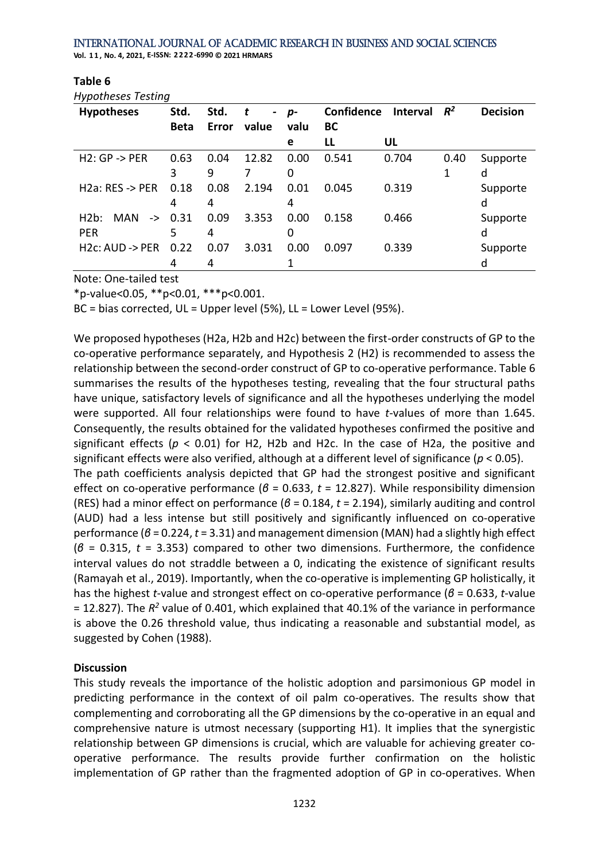International Journal of Academic Research in Business and Social Sciences **Vol. 1 1 , No. 4, 2021, E-ISSN: 2222-6990 © 2021 HRMARS**

| $\cdot$ , $\cdot$<br><b>Hypotheses</b> | Std.        | Std.  | t<br>$\sim$ | p-   | Confidence | <b>Interval</b> | $R^2$ | <b>Decision</b> |
|----------------------------------------|-------------|-------|-------------|------|------------|-----------------|-------|-----------------|
|                                        | <b>Beta</b> | Error | value       | valu | <b>BC</b>  |                 |       |                 |
|                                        |             |       |             | е    | LL         | UL              |       |                 |
| $H2:GP \rightarrow PER$                | 0.63        | 0.04  | 12.82       | 0.00 | 0.541      | 0.704           | 0.40  | Supporte        |
|                                        | 3           | 9     |             | 0    |            |                 | 1     | d               |
| $H2a$ : RES -> PER                     | 0.18        | 0.08  | 2.194       | 0.01 | 0.045      | 0.319           |       | Supporte        |
|                                        | 4           | 4     |             | 4    |            |                 |       | d               |
| H2b:<br><b>MAN</b>                     | $-> 0.31$   | 0.09  | 3.353       | 0.00 | 0.158      | 0.466           |       | Supporte        |
| <b>PER</b>                             | 5           | 4     |             | 0    |            |                 |       | d               |
| $H2c$ : AUD -> PER                     | 0.22        | 0.07  | 3.031       | 0.00 | 0.097      | 0.339           |       | Supporte        |
|                                        | 4           | 4     |             |      |            |                 |       | d               |

**Table 6**

*Hypotheses Testing*

Note: One-tailed test

\*p-value<0.05, \*\*p<0.01, \*\*\*p<0.001.

BC = bias corrected, UL = Upper level (5%), LL = Lower Level (95%).

We proposed hypotheses (H2a, H2b and H2c) between the first-order constructs of GP to the co-operative performance separately, and Hypothesis 2 (H2) is recommended to assess the relationship between the second-order construct of GP to co-operative performance. Table 6 summarises the results of the hypotheses testing, revealing that the four structural paths have unique, satisfactory levels of significance and all the hypotheses underlying the model were supported. All four relationships were found to have *t*-values of more than 1.645. Consequently, the results obtained for the validated hypotheses confirmed the positive and significant effects ( $p < 0.01$ ) for H2, H2b and H2c. In the case of H2a, the positive and significant effects were also verified, although at a different level of significance (*p* < 0.05). The path coefficients analysis depicted that GP had the strongest positive and significant effect on co-operative performance (*β* = 0.633, *t* = 12.827). While responsibility dimension (RES) had a minor effect on performance (*β* = 0.184, *t* = 2.194), similarly auditing and control (AUD) had a less intense but still positively and significantly influenced on co-operative performance (*β* = 0.224, *t* = 3.31) and management dimension (MAN) had a slightly high effect (*β* = 0.315, *t* = 3.353) compared to other two dimensions. Furthermore, the confidence interval values do not straddle between a 0, indicating the existence of significant results (Ramayah et al., 2019). Importantly, when the co-operative is implementing GP holistically, it has the highest *t*-value and strongest effect on co-operative performance (*β* = 0.633, *t*-value = 12.827). The  $R^2$  value of 0.401, which explained that 40.1% of the variance in performance is above the 0.26 threshold value, thus indicating a reasonable and substantial model, as suggested by Cohen (1988).

# **Discussion**

This study reveals the importance of the holistic adoption and parsimonious GP model in predicting performance in the context of oil palm co-operatives. The results show that complementing and corroborating all the GP dimensions by the co-operative in an equal and comprehensive nature is utmost necessary (supporting H1). It implies that the synergistic relationship between GP dimensions is crucial, which are valuable for achieving greater cooperative performance. The results provide further confirmation on the holistic implementation of GP rather than the fragmented adoption of GP in co-operatives. When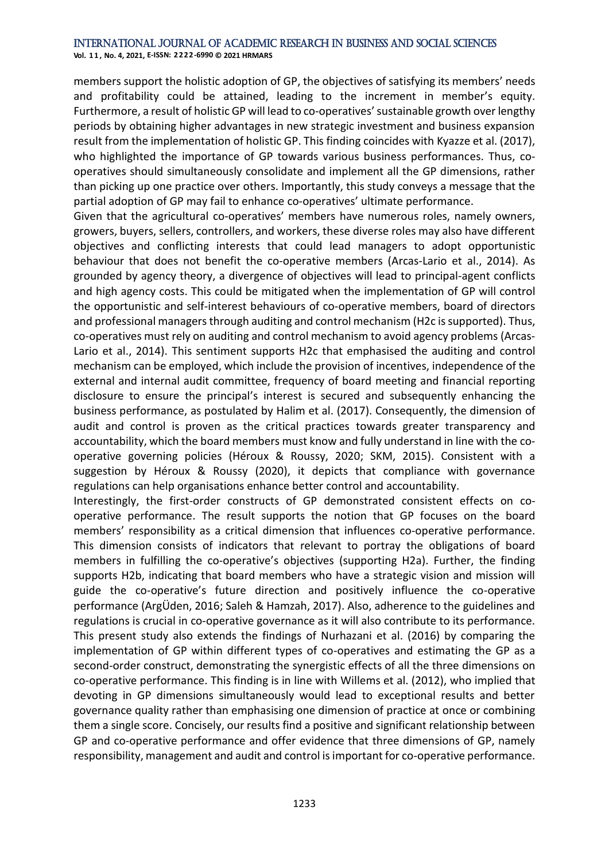**Vol. 1 1 , No. 4, 2021, E-ISSN: 2222-6990 © 2021 HRMARS**

members support the holistic adoption of GP, the objectives of satisfying its members' needs and profitability could be attained, leading to the increment in member's equity. Furthermore, a result of holistic GP will lead to co-operatives'sustainable growth over lengthy periods by obtaining higher advantages in new strategic investment and business expansion result from the implementation of holistic GP. This finding coincides with Kyazze et al. (2017), who highlighted the importance of GP towards various business performances. Thus, cooperatives should simultaneously consolidate and implement all the GP dimensions, rather than picking up one practice over others. Importantly, this study conveys a message that the partial adoption of GP may fail to enhance co-operatives' ultimate performance.

Given that the agricultural co-operatives' members have numerous roles, namely owners, growers, buyers, sellers, controllers, and workers, these diverse roles may also have different objectives and conflicting interests that could lead managers to adopt opportunistic behaviour that does not benefit the co-operative members (Arcas-Lario et al., 2014). As grounded by agency theory, a divergence of objectives will lead to principal-agent conflicts and high agency costs. This could be mitigated when the implementation of GP will control the opportunistic and self-interest behaviours of co-operative members, board of directors and professional managers through auditing and control mechanism (H2c is supported). Thus, co-operatives must rely on auditing and control mechanism to avoid agency problems (Arcas-Lario et al., 2014). This sentiment supports H2c that emphasised the auditing and control mechanism can be employed, which include the provision of incentives, independence of the external and internal audit committee, frequency of board meeting and financial reporting disclosure to ensure the principal's interest is secured and subsequently enhancing the business performance, as postulated by Halim et al. (2017). Consequently, the dimension of audit and control is proven as the critical practices towards greater transparency and accountability, which the board members must know and fully understand in line with the cooperative governing policies (Héroux & Roussy, 2020; SKM, 2015). Consistent with a suggestion by Héroux & Roussy (2020), it depicts that compliance with governance regulations can help organisations enhance better control and accountability.

Interestingly, the first-order constructs of GP demonstrated consistent effects on cooperative performance. The result supports the notion that GP focuses on the board members' responsibility as a critical dimension that influences co-operative performance. This dimension consists of indicators that relevant to portray the obligations of board members in fulfilling the co-operative's objectives (supporting H2a). Further, the finding supports H2b, indicating that board members who have a strategic vision and mission will guide the co-operative's future direction and positively influence the co-operative performance (ArgÜden, 2016; Saleh & Hamzah, 2017). Also, adherence to the guidelines and regulations is crucial in co-operative governance as it will also contribute to its performance. This present study also extends the findings of Nurhazani et al. (2016) by comparing the implementation of GP within different types of co-operatives and estimating the GP as a second-order construct, demonstrating the synergistic effects of all the three dimensions on co-operative performance. This finding is in line with Willems et al. (2012), who implied that devoting in GP dimensions simultaneously would lead to exceptional results and better governance quality rather than emphasising one dimension of practice at once or combining them a single score. Concisely, our results find a positive and significant relationship between GP and co-operative performance and offer evidence that three dimensions of GP, namely responsibility, management and audit and control is important for co-operative performance.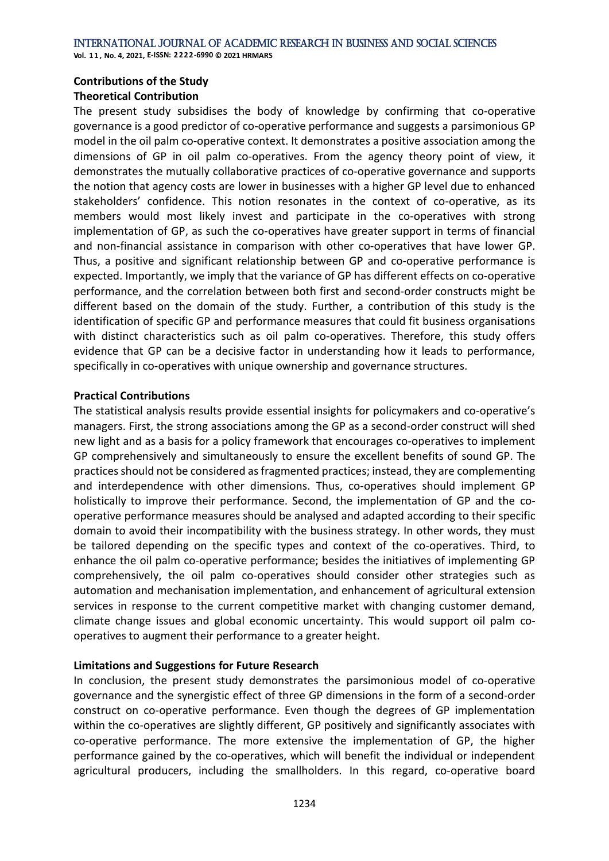**Vol. 1 1 , No. 4, 2021, E-ISSN: 2222-6990 © 2021 HRMARS**

#### **Contributions of the Study**

## **Theoretical Contribution**

The present study subsidises the body of knowledge by confirming that co-operative governance is a good predictor of co-operative performance and suggests a parsimonious GP model in the oil palm co-operative context. It demonstrates a positive association among the dimensions of GP in oil palm co-operatives. From the agency theory point of view, it demonstrates the mutually collaborative practices of co-operative governance and supports the notion that agency costs are lower in businesses with a higher GP level due to enhanced stakeholders' confidence. This notion resonates in the context of co-operative, as its members would most likely invest and participate in the co-operatives with strong implementation of GP, as such the co-operatives have greater support in terms of financial and non-financial assistance in comparison with other co-operatives that have lower GP. Thus, a positive and significant relationship between GP and co-operative performance is expected. Importantly, we imply that the variance of GP has different effects on co-operative performance, and the correlation between both first and second-order constructs might be different based on the domain of the study. Further, a contribution of this study is the identification of specific GP and performance measures that could fit business organisations with distinct characteristics such as oil palm co-operatives. Therefore, this study offers evidence that GP can be a decisive factor in understanding how it leads to performance, specifically in co-operatives with unique ownership and governance structures.

## **Practical Contributions**

The statistical analysis results provide essential insights for policymakers and co-operative's managers. First, the strong associations among the GP as a second-order construct will shed new light and as a basis for a policy framework that encourages co-operatives to implement GP comprehensively and simultaneously to ensure the excellent benefits of sound GP. The practices should not be considered as fragmented practices; instead, they are complementing and interdependence with other dimensions. Thus, co-operatives should implement GP holistically to improve their performance. Second, the implementation of GP and the cooperative performance measures should be analysed and adapted according to their specific domain to avoid their incompatibility with the business strategy. In other words, they must be tailored depending on the specific types and context of the co-operatives. Third, to enhance the oil palm co-operative performance; besides the initiatives of implementing GP comprehensively, the oil palm co-operatives should consider other strategies such as automation and mechanisation implementation, and enhancement of agricultural extension services in response to the current competitive market with changing customer demand, climate change issues and global economic uncertainty. This would support oil palm cooperatives to augment their performance to a greater height.

# **Limitations and Suggestions for Future Research**

In conclusion, the present study demonstrates the parsimonious model of co-operative governance and the synergistic effect of three GP dimensions in the form of a second-order construct on co-operative performance. Even though the degrees of GP implementation within the co-operatives are slightly different, GP positively and significantly associates with co-operative performance. The more extensive the implementation of GP, the higher performance gained by the co-operatives, which will benefit the individual or independent agricultural producers, including the smallholders. In this regard, co-operative board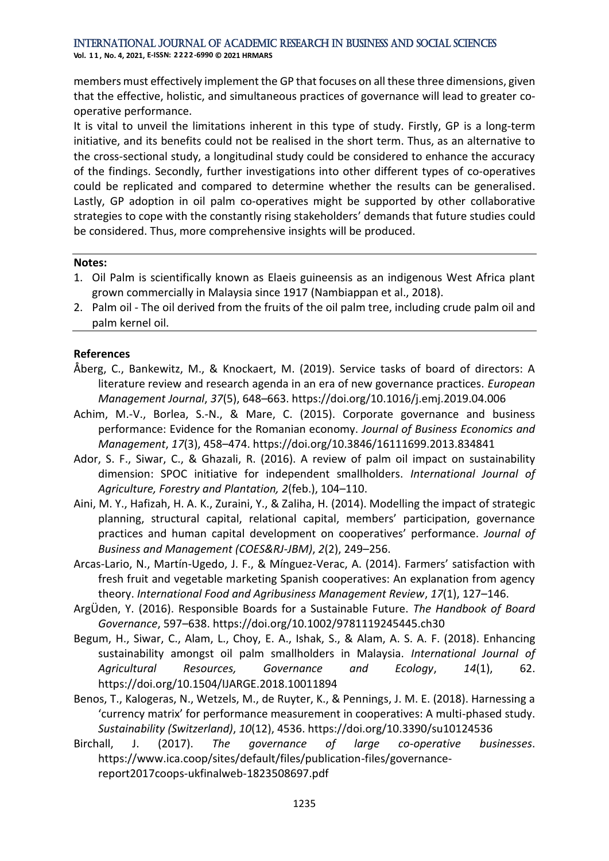**Vol. 1 1 , No. 4, 2021, E-ISSN: 2222-6990 © 2021 HRMARS**

members must effectively implement the GP that focuses on all these three dimensions, given that the effective, holistic, and simultaneous practices of governance will lead to greater cooperative performance.

It is vital to unveil the limitations inherent in this type of study. Firstly, GP is a long-term initiative, and its benefits could not be realised in the short term. Thus, as an alternative to the cross-sectional study, a longitudinal study could be considered to enhance the accuracy of the findings. Secondly, further investigations into other different types of co-operatives could be replicated and compared to determine whether the results can be generalised. Lastly, GP adoption in oil palm co-operatives might be supported by other collaborative strategies to cope with the constantly rising stakeholders' demands that future studies could be considered. Thus, more comprehensive insights will be produced.

#### **Notes:**

- 1. Oil Palm is scientifically known as Elaeis guineensis as an indigenous West Africa plant grown commercially in Malaysia since 1917 (Nambiappan et al., 2018).
- 2. Palm oil The oil derived from the fruits of the oil palm tree, including crude palm oil and palm kernel oil.

#### **References**

- Åberg, C., Bankewitz, M., & Knockaert, M. (2019). Service tasks of board of directors: A literature review and research agenda in an era of new governance practices. *European Management Journal*, *37*(5), 648–663. https://doi.org/10.1016/j.emj.2019.04.006
- Achim, M.-V., Borlea, S.-N., & Mare, C. (2015). Corporate governance and business performance: Evidence for the Romanian economy. *Journal of Business Economics and Management*, *17*(3), 458–474. https://doi.org/10.3846/16111699.2013.834841
- Ador, S. F., Siwar, C., & Ghazali, R. (2016). A review of palm oil impact on sustainability dimension: SPOC initiative for independent smallholders. *International Journal of Agriculture, Forestry and Plantation, 2*(feb.), 104–110.
- Aini, M. Y., Hafizah, H. A. K., Zuraini, Y., & Zaliha, H. (2014). Modelling the impact of strategic planning, structural capital, relational capital, members' participation, governance practices and human capital development on cooperatives' performance. *Journal of Business and Management (COES&RJ-JBM)*, *2*(2), 249–256.
- Arcas-Lario, N., Martín-Ugedo, J. F., & Mínguez-Verac, A. (2014). Farmers' satisfaction with fresh fruit and vegetable marketing Spanish cooperatives: An explanation from agency theory. *International Food and Agribusiness Management Review*, *17*(1), 127–146.
- ArgÜden, Y. (2016). Responsible Boards for a Sustainable Future. *The Handbook of Board Governance*, 597–638. https://doi.org/10.1002/9781119245445.ch30
- Begum, H., Siwar, C., Alam, L., Choy, E. A., Ishak, S., & Alam, A. S. A. F. (2018). Enhancing sustainability amongst oil palm smallholders in Malaysia. *International Journal of Agricultural Resources, Governance and Ecology*, *14*(1), 62. https://doi.org/10.1504/IJARGE.2018.10011894
- Benos, T., Kalogeras, N., Wetzels, M., de Ruyter, K., & Pennings, J. M. E. (2018). Harnessing a 'currency matrix' for performance measurement in cooperatives: A multi-phased study. *Sustainability (Switzerland)*, *10*(12), 4536. https://doi.org/10.3390/su10124536
- Birchall, J. (2017). *The governance of large co-operative businesses*. https://www.ica.coop/sites/default/files/publication-files/governancereport2017coops-ukfinalweb-1823508697.pdf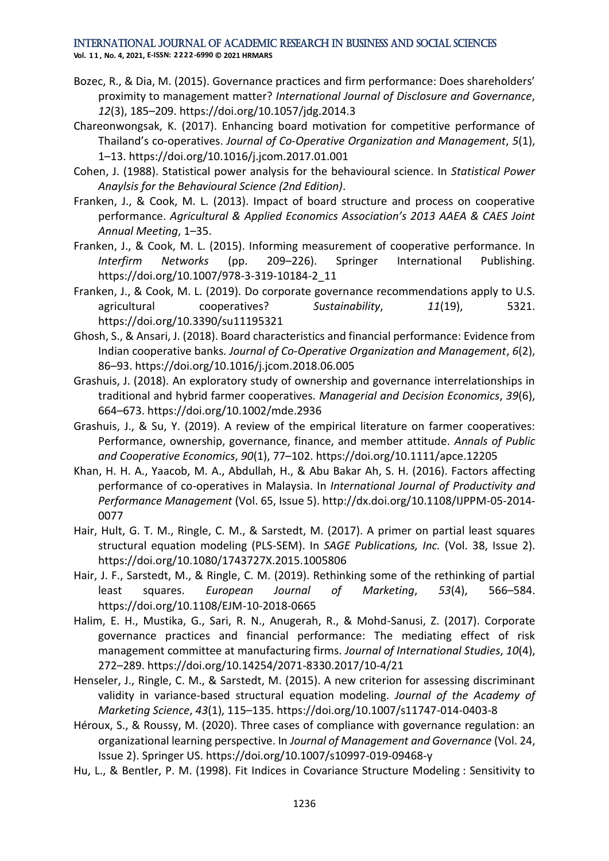**Vol. 1 1 , No. 4, 2021, E-ISSN: 2222-6990 © 2021 HRMARS**

- Bozec, R., & Dia, M. (2015). Governance practices and firm performance: Does shareholders' proximity to management matter? *International Journal of Disclosure and Governance*, *12*(3), 185–209. https://doi.org/10.1057/jdg.2014.3
- Chareonwongsak, K. (2017). Enhancing board motivation for competitive performance of Thailand's co-operatives. *Journal of Co-Operative Organization and Management*, *5*(1), 1–13. https://doi.org/10.1016/j.jcom.2017.01.001
- Cohen, J. (1988). Statistical power analysis for the behavioural science. In *Statistical Power Anaylsis for the Behavioural Science (2nd Edition)*.
- Franken, J., & Cook, M. L. (2013). Impact of board structure and process on cooperative performance. *Agricultural & Applied Economics Association's 2013 AAEA & CAES Joint Annual Meeting*, 1–35.
- Franken, J., & Cook, M. L. (2015). Informing measurement of cooperative performance. In *Interfirm Networks* (pp. 209–226). Springer International Publishing. https://doi.org/10.1007/978-3-319-10184-2\_11
- Franken, J., & Cook, M. L. (2019). Do corporate governance recommendations apply to U.S. agricultural cooperatives? *Sustainability*, *11*(19), 5321. https://doi.org/10.3390/su11195321
- Ghosh, S., & Ansari, J. (2018). Board characteristics and financial performance: Evidence from Indian cooperative banks. *Journal of Co-Operative Organization and Management*, *6*(2), 86–93. https://doi.org/10.1016/j.jcom.2018.06.005
- Grashuis, J. (2018). An exploratory study of ownership and governance interrelationships in traditional and hybrid farmer cooperatives. *Managerial and Decision Economics*, *39*(6), 664–673. https://doi.org/10.1002/mde.2936
- Grashuis, J., & Su, Y. (2019). A review of the empirical literature on farmer cooperatives: Performance, ownership, governance, finance, and member attitude. *Annals of Public and Cooperative Economics*, *90*(1), 77–102. https://doi.org/10.1111/apce.12205
- Khan, H. H. A., Yaacob, M. A., Abdullah, H., & Abu Bakar Ah, S. H. (2016). Factors affecting performance of co-operatives in Malaysia. In *International Journal of Productivity and Performance Management* (Vol. 65, Issue 5). http://dx.doi.org/10.1108/IJPPM-05-2014- 0077
- Hair, Hult, G. T. M., Ringle, C. M., & Sarstedt, M. (2017). A primer on partial least squares structural equation modeling (PLS-SEM). In *SAGE Publications, Inc.* (Vol. 38, Issue 2). https://doi.org/10.1080/1743727X.2015.1005806
- Hair, J. F., Sarstedt, M., & Ringle, C. M. (2019). Rethinking some of the rethinking of partial least squares. *European Journal of Marketing*, *53*(4), 566–584. https://doi.org/10.1108/EJM-10-2018-0665
- Halim, E. H., Mustika, G., Sari, R. N., Anugerah, R., & Mohd-Sanusi, Z. (2017). Corporate governance practices and financial performance: The mediating effect of risk management committee at manufacturing firms. *Journal of International Studies*, *10*(4), 272–289. https://doi.org/10.14254/2071-8330.2017/10-4/21
- Henseler, J., Ringle, C. M., & Sarstedt, M. (2015). A new criterion for assessing discriminant validity in variance-based structural equation modeling. *Journal of the Academy of Marketing Science*, *43*(1), 115–135. https://doi.org/10.1007/s11747-014-0403-8
- Héroux, S., & Roussy, M. (2020). Three cases of compliance with governance regulation: an organizational learning perspective. In *Journal of Management and Governance* (Vol. 24, Issue 2). Springer US. https://doi.org/10.1007/s10997-019-09468-y
- Hu, L., & Bentler, P. M. (1998). Fit Indices in Covariance Structure Modeling : Sensitivity to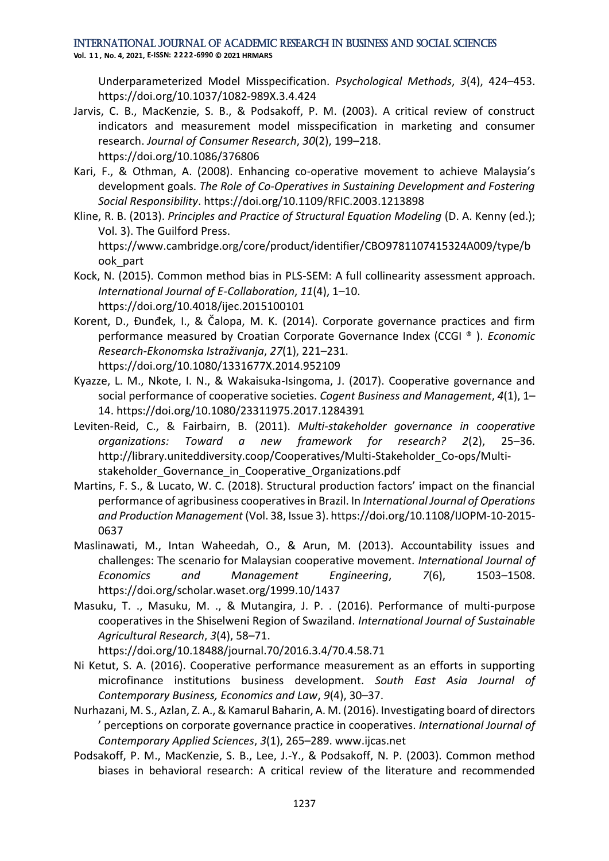**Vol. 1 1 , No. 4, 2021, E-ISSN: 2222-6990 © 2021 HRMARS**

Underparameterized Model Misspecification. *Psychological Methods*, *3*(4), 424–453. https://doi.org/10.1037/1082-989X.3.4.424

- Jarvis, C. B., MacKenzie, S. B., & Podsakoff, P. M. (2003). A critical review of construct indicators and measurement model misspecification in marketing and consumer research. *Journal of Consumer Research*, *30*(2), 199–218. https://doi.org/10.1086/376806
- Kari, F., & Othman, A. (2008). Enhancing co-operative movement to achieve Malaysia's development goals. *The Role of Co-Operatives in Sustaining Development and Fostering Social Responsibility*. https://doi.org/10.1109/RFIC.2003.1213898
- Kline, R. B. (2013). *Principles and Practice of Structural Equation Modeling* (D. A. Kenny (ed.); Vol. 3). The Guilford Press. https://www.cambridge.org/core/product/identifier/CBO9781107415324A009/type/b ook\_part
- Kock, N. (2015). Common method bias in PLS-SEM: A full collinearity assessment approach. *International Journal of E-Collaboration*, *11*(4), 1–10. https://doi.org/10.4018/ijec.2015100101
- Korent, D., Đunđek, I., & Čalopa, M. K. (2014). Corporate governance practices and firm performance measured by Croatian Corporate Governance Index (CCGI ® ). *Economic Research-Ekonomska Istraživanja*, *27*(1), 221–231. https://doi.org/10.1080/1331677X.2014.952109
- Kyazze, L. M., Nkote, I. N., & Wakaisuka-Isingoma, J. (2017). Cooperative governance and social performance of cooperative societies. *Cogent Business and Management*, *4*(1), 1– 14. https://doi.org/10.1080/23311975.2017.1284391
- Leviten-Reid, C., & Fairbairn, B. (2011). *Multi-stakeholder governance in cooperative organizations: Toward a new framework for research? 2*(2), 25–36. http://library.uniteddiversity.coop/Cooperatives/Multi-Stakeholder\_Co-ops/Multistakeholder\_Governance\_in\_Cooperative\_Organizations.pdf
- Martins, F. S., & Lucato, W. C. (2018). Structural production factors' impact on the financial performance of agribusiness cooperatives in Brazil. In *International Journal of Operations and Production Management* (Vol. 38, Issue 3). https://doi.org/10.1108/IJOPM-10-2015- 0637
- Maslinawati, M., Intan Waheedah, O., & Arun, M. (2013). Accountability issues and challenges: The scenario for Malaysian cooperative movement. *International Journal of Economics and Management Engineering*, *7*(6), 1503–1508. https://doi.org/scholar.waset.org/1999.10/1437
- Masuku, T. ., Masuku, M. ., & Mutangira, J. P. . (2016). Performance of multi-purpose cooperatives in the Shiselweni Region of Swaziland. *International Journal of Sustainable Agricultural Research*, *3*(4), 58–71.

https://doi.org/10.18488/journal.70/2016.3.4/70.4.58.71

- Ni Ketut, S. A. (2016). Cooperative performance measurement as an efforts in supporting microfinance institutions business development. *South East Asia Journal of Contemporary Business, Economics and Law*, *9*(4), 30–37.
- Nurhazani, M. S., Azlan, Z. A., & Kamarul Baharin, A. M. (2016). Investigating board of directors ' perceptions on corporate governance practice in cooperatives. *International Journal of Contemporary Applied Sciences*, *3*(1), 265–289. www.ijcas.net
- Podsakoff, P. M., MacKenzie, S. B., Lee, J.-Y., & Podsakoff, N. P. (2003). Common method biases in behavioral research: A critical review of the literature and recommended